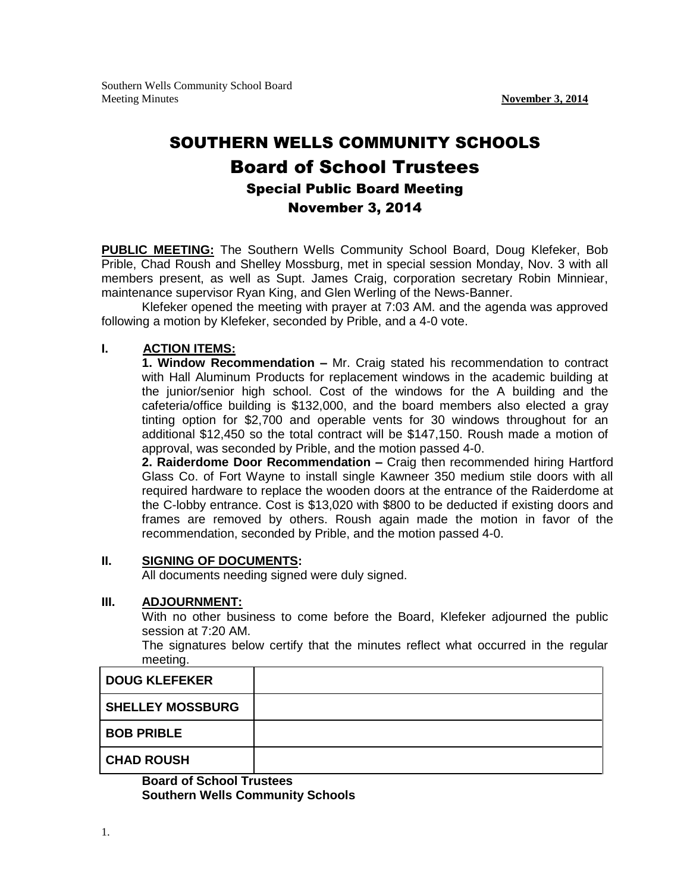## SOUTHERN WELLS COMMUNITY SCHOOLS Board of School Trustees Special Public Board Meeting November 3, 2014

**PUBLIC MEETING:** The Southern Wells Community School Board, Doug Klefeker, Bob Prible, Chad Roush and Shelley Mossburg, met in special session Monday, Nov. 3 with all members present, as well as Supt. James Craig, corporation secretary Robin Minniear, maintenance supervisor Ryan King, and Glen Werling of the News-Banner.

Klefeker opened the meeting with prayer at 7:03 AM. and the agenda was approved following a motion by Klefeker, seconded by Prible, and a 4-0 vote.

## **I. ACTION ITEMS:**

**1. Window Recommendation –** Mr. Craig stated his recommendation to contract with Hall Aluminum Products for replacement windows in the academic building at the junior/senior high school. Cost of the windows for the A building and the cafeteria/office building is \$132,000, and the board members also elected a gray tinting option for \$2,700 and operable vents for 30 windows throughout for an additional \$12,450 so the total contract will be \$147,150. Roush made a motion of approval, was seconded by Prible, and the motion passed 4-0.

**2. Raiderdome Door Recommendation –** Craig then recommended hiring Hartford Glass Co. of Fort Wayne to install single Kawneer 350 medium stile doors with all required hardware to replace the wooden doors at the entrance of the Raiderdome at the C-lobby entrance. Cost is \$13,020 with \$800 to be deducted if existing doors and frames are removed by others. Roush again made the motion in favor of the recommendation, seconded by Prible, and the motion passed 4-0.

## **II. SIGNING OF DOCUMENTS:**

All documents needing signed were duly signed.

## **III. ADJOURNMENT:**

With no other business to come before the Board, Klefeker adjourned the public session at 7:20 AM.

The signatures below certify that the minutes reflect what occurred in the regular meeting.

| <b>DOUG KLEFEKER</b>    |  |
|-------------------------|--|
| <b>SHELLEY MOSSBURG</b> |  |
| <b>BOB PRIBLE</b>       |  |
| <b>CHAD ROUSH</b>       |  |

**Board of School Trustees Southern Wells Community Schools**